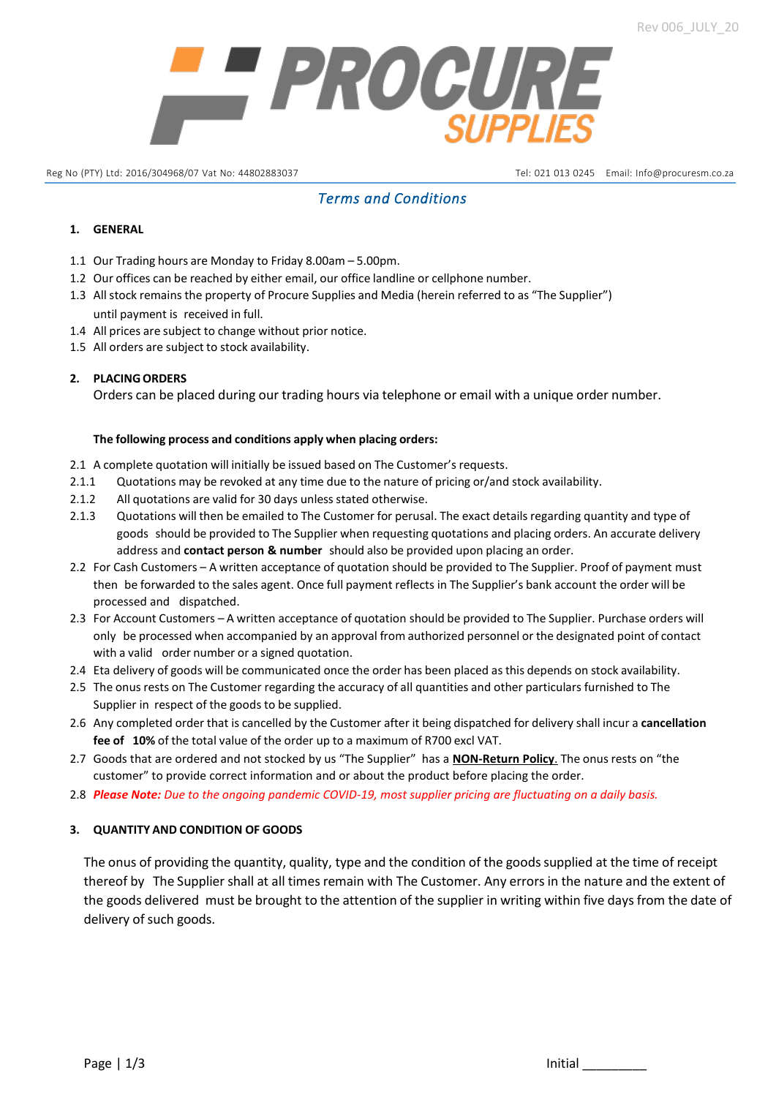

Reg No (PTY) Ltd: 2016/304968/07 Vat No: 44802883037 Tel: 021 013 0245 Email: [Info@procuresm.co.za](mailto:Info@procuresm.co.za)

# *Terms and Conditions*

# **1. GENERAL**

- 1.1 Our Trading hours are Monday to Friday 8.00am 5.00pm.
- 1.2 Our offices can be reached by either email, our office landline or cellphone number.
- 1.3 Allstock remains the property of Procure Supplies and Media (herein referred to as "The Supplier") until payment is received in full.
- 1.4 All prices are subject to change without prior notice.
- 1.5 All orders are subject to stock availability.

# **2. PLACINGORDERS**

Orders can be placed during our trading hours via telephone or email with a unique order number.

#### **The following process and conditions apply when placing orders:**

- 2.1 A complete quotation will initially be issued based on The Customer's requests.
- 2.1.1 Quotations may be revoked at any time due to the nature of pricing or/and stock availability.
- 2.1.2 All quotations are valid for 30 days unless stated otherwise.
- 2.1.3 Quotations will then be emailed to The Customer for perusal. The exact details regarding quantity and type of goods should be provided to The Supplier when requesting quotations and placing orders. An accurate delivery address and **contact person & number** should also be provided upon placing an order.
- 2.2 For Cash Customers A written acceptance of quotation should be provided to The Supplier. Proof of payment must then be forwarded to the sales agent. Once full payment reflects in The Supplier's bank account the order will be processed and dispatched.
- 2.3 For Account Customers A written acceptance of quotation should be provided to The Supplier. Purchase orders will only be processed when accompanied by an approval from authorized personnel or the designated point of contact with a valid order number or a signed quotation.
- 2.4 Eta delivery of goods will be communicated once the order has been placed as this depends on stock availability.
- 2.5 The onus rests on The Customer regarding the accuracy of all quantities and other particulars furnished to The Supplier in respect of the goods to be supplied.
- 2.6 Any completed order that is cancelled by the Customer after it being dispatched for delivery shall incur a **cancellation fee of 10%** of the total value of the order up to a maximum of R700 excl VAT.
- 2.7 Goods that are ordered and not stocked by us "The Supplier" has a **NON-Return Policy**. The onus rests on "the customer" to provide correct information and or about the product before placing the order.
- 2.8 *Please Note: Due to the ongoing pandemic COVID-19, most supplier pricing are fluctuating on a daily basis.*

#### **3. QUANTITY AND CONDITION OF GOODS**

The onus of providing the quantity, quality, type and the condition of the goodssupplied at the time of receipt thereof by The Supplier shall at all times remain with The Customer. Any errorsin the nature and the extent of the goods delivered must be brought to the attention of the supplier in writing within five days from the date of delivery of such goods.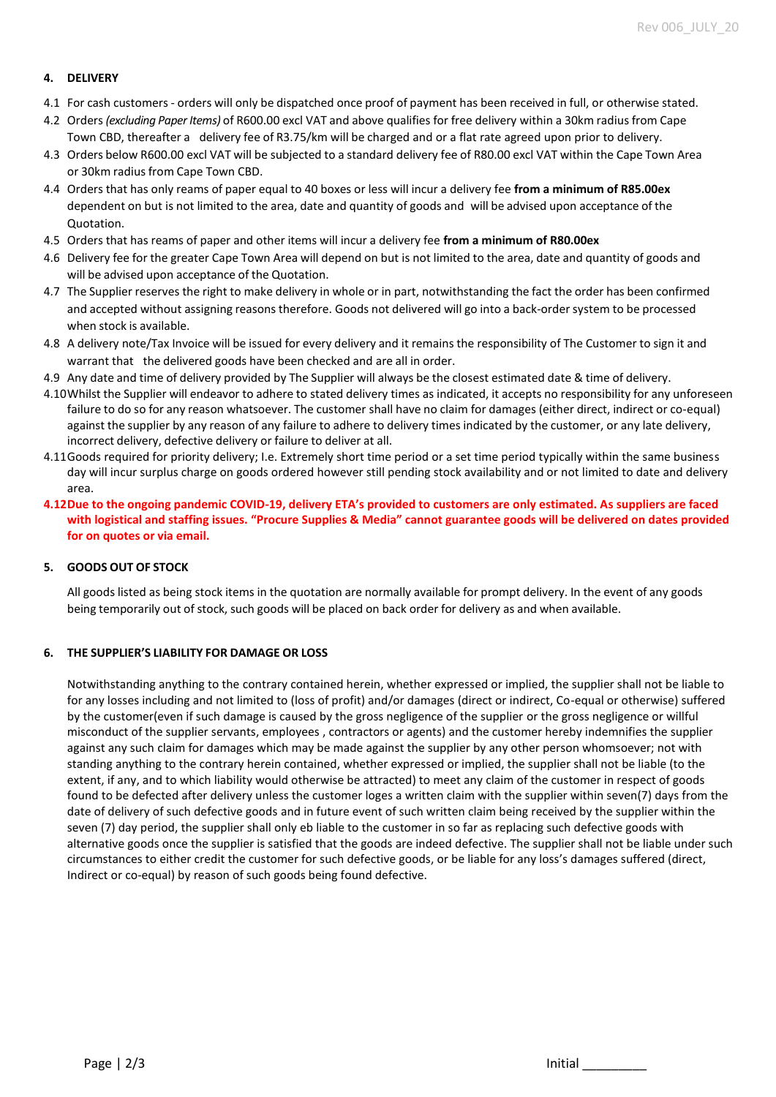#### **4. DELIVERY**

- 4.1 For cash customers orders will only be dispatched once proof of payment has been received in full, or otherwise stated.
- 4.2 Orders *(excluding Paper Items)* of R600.00 excl VAT and above qualifies for free delivery within a 30km radius from Cape Town CBD, thereafter a delivery fee of R3.75/km will be charged and or a flat rate agreed upon prior to delivery.
- 4.3 Orders below R600.00 excl VAT will be subjected to a standard delivery fee of R80.00 excl VAT within the Cape Town Area or 30km radius from Cape Town CBD.
- 4.4 Orders that has only reams of paper equal to 40 boxes or less will incur a delivery fee **from a minimum of R85.00ex** dependent on but is not limited to the area, date and quantity of goods and will be advised upon acceptance of the Quotation.
- 4.5 Orders that has reams of paper and other items will incur a delivery fee **from a minimum of R80.00ex**
- 4.6 Delivery fee for the greater Cape Town Area will depend on but is not limited to the area, date and quantity of goods and will be advised upon acceptance of the Quotation.
- 4.7 The Supplier reserves the right to make delivery in whole or in part, notwithstanding the fact the order has been confirmed and accepted without assigning reasons therefore. Goods not delivered will go into a back-order system to be processed when stock is available.
- 4.8 A delivery note/Tax Invoice will be issued for every delivery and it remains the responsibility of The Customer to sign it and warrant that the delivered goods have been checked and are all in order.
- 4.9 Any date and time of delivery provided by The Supplier will always be the closest estimated date & time of delivery.
- 4.10Whilst the Supplier will endeavor to adhere to stated delivery times as indicated, it accepts no responsibility for any unforeseen failure to do so for any reason whatsoever. The customer shall have no claim for damages (either direct, indirect or co-equal) against the supplier by any reason of any failure to adhere to delivery times indicated by the customer, or any late delivery, incorrect delivery, defective delivery or failure to deliver at all.
- 4.11Goods required for priority delivery; I.e. Extremely short time period or a set time period typically within the same business day will incur surplus charge on goods ordered however still pending stock availability and or not limited to date and delivery area.
- **4.12Due to the ongoing pandemic COVID-19, delivery ETA's provided to customers are only estimated. As suppliers are faced with logistical and staffing issues. "Procure Supplies & Media" cannot guarantee goods will be delivered on dates provided for on quotes or via email.**

#### **5. GOODS OUT OF STOCK**

All goods listed as being stock items in the quotation are normally available for prompt delivery. In the event of any goods being temporarily out of stock, such goods will be placed on back order for delivery as and when available.

#### **6. THE SUPPLIER'S LIABILITY FOR DAMAGE OR LOSS**

Notwithstanding anything to the contrary contained herein, whether expressed or implied, the supplier shall not be liable to for any losses including and not limited to (loss of profit) and/or damages (direct or indirect, Co-equal or otherwise) suffered by the customer(even if such damage is caused by the gross negligence of the supplier or the gross negligence or willful misconduct of the supplier servants, employees , contractors or agents) and the customer hereby indemnifies the supplier against any such claim for damages which may be made against the supplier by any other person whomsoever; not with standing anything to the contrary herein contained, whether expressed or implied, the supplier shall not be liable (to the extent, if any, and to which liability would otherwise be attracted) to meet any claim of the customer in respect of goods found to be defected after delivery unless the customer loges a written claim with the supplier within seven(7) days from the date of delivery of such defective goods and in future event of such written claim being received by the supplier within the seven (7) day period, the supplier shall only eb liable to the customer in so far as replacing such defective goods with alternative goods once the supplier is satisfied that the goods are indeed defective. The supplier shall not be liable under such circumstances to either credit the customer for such defective goods, or be liable for any loss's damages suffered (direct, Indirect or co-equal) by reason of such goods being found defective.